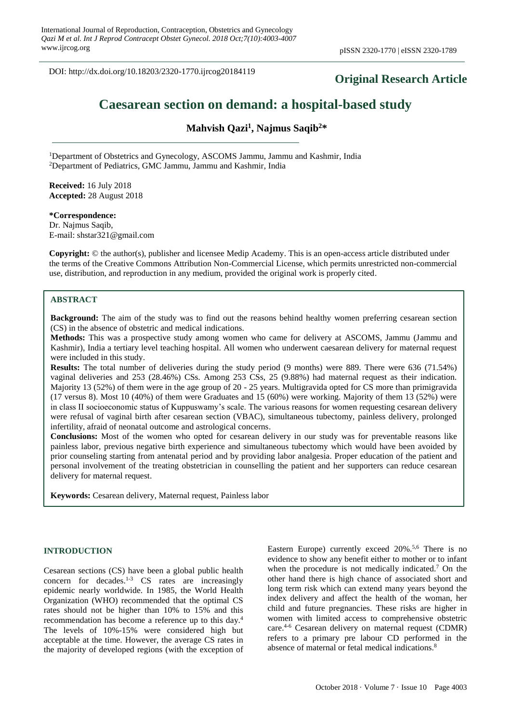DOI: http://dx.doi.org/10.18203/2320-1770.ijrcog20184119

# **Original Research Article**

# **Caesarean section on demand: a hospital-based study**

**Mahvish Qazi<sup>1</sup> , Najmus Saqib<sup>2</sup>\***

<sup>1</sup>Department of Obstetrics and Gynecology, ASCOMS Jammu, Jammu and Kashmir, India <sup>2</sup>Department of Pediatrics, GMC Jammu, Jammu and Kashmir, India

**Received:** 16 July 2018 **Accepted:** 28 August 2018

**\*Correspondence:** Dr. Najmus Saqib, E-mail: shstar321@gmail.com

**Copyright:** © the author(s), publisher and licensee Medip Academy. This is an open-access article distributed under the terms of the Creative Commons Attribution Non-Commercial License, which permits unrestricted non-commercial use, distribution, and reproduction in any medium, provided the original work is properly cited.

#### **ABSTRACT**

**Background:** The aim of the study was to find out the reasons behind healthy women preferring cesarean section (CS) in the absence of obstetric and medical indications.

**Methods:** This was a prospective study among women who came for delivery at ASCOMS, Jammu (Jammu and Kashmir), India a tertiary level teaching hospital. All women who underwent caesarean delivery for maternal request were included in this study.

**Results:** The total number of deliveries during the study period (9 months) were 889. There were 636 (71.54%) vaginal deliveries and 253 (28.46%) CSs. Among 253 CSs, 25 (9.88%) had maternal request as their indication. Majority 13 (52%) of them were in the age group of 20 - 25 years. Multigravida opted for CS more than primigravida (17 versus 8). Most 10 (40%) of them were Graduates and 15 (60%) were working. Majority of them 13 (52%) were in class II socioeconomic status of Kuppuswamy's scale. The various reasons for women requesting cesarean delivery were refusal of vaginal birth after cesarean section (VBAC), simultaneous tubectomy, painless delivery, prolonged infertility, afraid of neonatal outcome and astrological concerns.

**Conclusions:** Most of the women who opted for cesarean delivery in our study was for preventable reasons like painless labor, previous negative birth experience and simultaneous tubectomy which would have been avoided by prior counseling starting from antenatal period and by providing labor analgesia. Proper education of the patient and personal involvement of the treating obstetrician in counselling the patient and her supporters can reduce cesarean delivery for maternal request.

**Keywords:** Cesarean delivery, Maternal request, Painless labor

#### **INTRODUCTION**

Cesarean sections (CS) have been a global public health concern for decades.<sup>1-3</sup> CS rates are increasingly epidemic nearly worldwide. In 1985, the World Health Organization (WHO) recommended that the optimal CS rates should not be higher than 10% to 15% and this recommendation has become a reference up to this day. 4 The levels of 10%-15% were considered high but acceptable at the time. However, the average CS rates in the majority of developed regions (with the exception of

Eastern Europe) currently exceed 20%.<sup>5,6</sup> There is no evidence to show any benefit either to mother or to infant when the procedure is not medically indicated. <sup>7</sup> On the other hand there is high chance of associated short and long term risk which can extend many years beyond the index delivery and affect the health of the woman, her child and future pregnancies. These risks are higher in women with limited access to comprehensive obstetric care. 4-6 Cesarean delivery on maternal request (CDMR) refers to a primary pre labour CD performed in the absence of maternal or fetal medical indications.<sup>8</sup>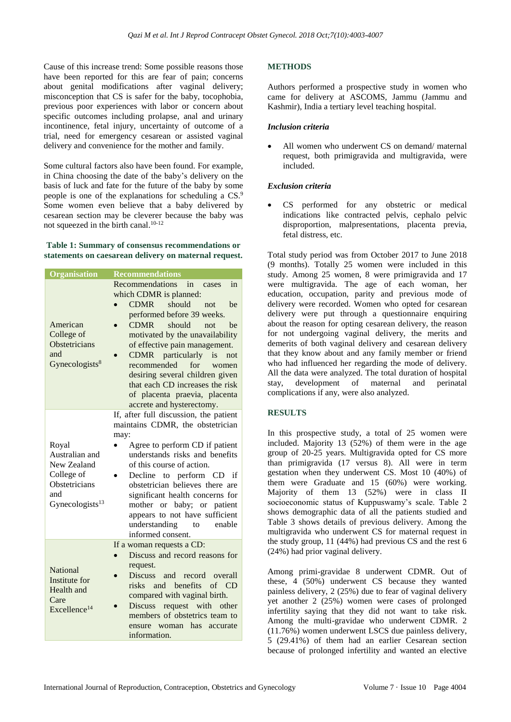Cause of this increase trend: Some possible reasons those have been reported for this are fear of pain; concerns about genital modifications after vaginal delivery; misconception that CS is safer for the baby, tocophobia, previous poor experiences with labor or concern about specific outcomes including prolapse, anal and urinary incontinence, fetal injury, uncertainty of outcome of a trial, need for emergency cesarean or assisted vaginal delivery and convenience for the mother and family.

Some cultural factors also have been found. For example, in China choosing the date of the baby's delivery on the basis of luck and fate for the future of the baby by some people is one of the explanations for scheduling a CS.<sup>9</sup> Some women even believe that a baby delivered by cesarean section may be cleverer because the baby was not squeezed in the birth canal.10-12

#### **Table 1: Summary of consensus recommendations or statements on caesarean delivery on maternal request.**

| Organisation                                                                                       | <b>Recommendations</b>                                                                                                                                                                                                                                                                                                                                                                                                                                      |
|----------------------------------------------------------------------------------------------------|-------------------------------------------------------------------------------------------------------------------------------------------------------------------------------------------------------------------------------------------------------------------------------------------------------------------------------------------------------------------------------------------------------------------------------------------------------------|
| American<br>College of<br>Obstetricians<br>and<br>Gynecologists <sup>8</sup>                       | Recommendations<br>in<br>in<br>cases<br>which CDMR is planned:<br>should<br><b>CDMR</b><br>not<br>be<br>performed before 39 weeks.<br><b>CDMR</b><br>should<br>not<br>be<br>motivated by the unavailability<br>of effective pain management.<br>particularly<br><b>CDMR</b><br>is<br>not<br>recommended<br>for<br>women<br>desiring several children given<br>that each CD increases the risk<br>of placenta praevia, placenta<br>accrete and hysterectomy. |
| Royal<br>Australian and<br>New Zealand<br>College of<br>Obstetricians<br>and<br>Gynecologists $13$ | If, after full discussion, the patient<br>maintains CDMR, the obstetrician<br>may:<br>Agree to perform CD if patient<br>understands risks and benefits<br>of this course of action.<br>Decline to perform CD if<br>obstetrician believes there are<br>significant health concerns for<br>mother or baby; or patient<br>appears to not have sufficient<br>understanding<br>enable<br>to<br>informed consent.                                                 |
| <b>National</b><br>Institute for<br>Health and<br>Care<br>Excellence <sup>14</sup>                 | If a woman requests a CD:<br>Discuss and record reasons for<br>request.<br><b>Discuss</b><br>and record overall<br>risks and benefits<br>of CD<br>compared with vaginal birth.<br>Discuss request with other<br>members of obstetrics team to<br>ensure woman has<br>accurate<br>information.                                                                                                                                                               |

# **METHODS**

Authors performed a prospective study in women who came for delivery at ASCOMS, Jammu (Jammu and Kashmir), India a tertiary level teaching hospital.

#### *Inclusion criteria*

All women who underwent CS on demand/ maternal request, both primigravida and multigravida, were included.

### *Exclusion criteria*

CS performed for any obstetric or medical indications like contracted pelvis, cephalo pelvic disproportion, malpresentations, placenta previa, fetal distress, etc.

Total study period was from October 2017 to June 2018 (9 months). Totally 25 women were included in this study. Among 25 women, 8 were primigravida and 17 were multigravida. The age of each woman, her education, occupation, parity and previous mode of delivery were recorded. Women who opted for cesarean delivery were put through a questionnaire enquiring about the reason for opting cesarean delivery, the reason for not undergoing vaginal delivery, the merits and demerits of both vaginal delivery and cesarean delivery that they know about and any family member or friend who had influenced her regarding the mode of delivery. All the data were analyzed. The total duration of hospital stay, development of maternal and perinatal complications if any, were also analyzed.

## **RESULTS**

In this prospective study, a total of 25 women were included. Majority 13 (52%) of them were in the age group of 20-25 years. Multigravida opted for CS more than primigravida (17 versus 8). All were in term gestation when they underwent CS. Most 10 (40%) of them were Graduate and 15 (60%) were working. Majority of them 13 (52%) were in class II socioeconomic status of Kuppuswamy's scale. Table 2 shows demographic data of all the patients studied and Table 3 shows details of previous delivery. Among the multigravida who underwent CS for maternal request in the study group, 11 (44%) had previous CS and the rest 6 (24%) had prior vaginal delivery.

Among primi-gravidae 8 underwent CDMR. Out of these, 4 (50%) underwent CS because they wanted painless delivery, 2 (25%) due to fear of vaginal delivery yet another 2 (25%) women were cases of prolonged infertility saying that they did not want to take risk. Among the multi-gravidae who underwent CDMR. 2 (11.76%) women underwent LSCS due painless delivery, 5 (29.41%) of them had an earlier Cesarean section because of prolonged infertility and wanted an elective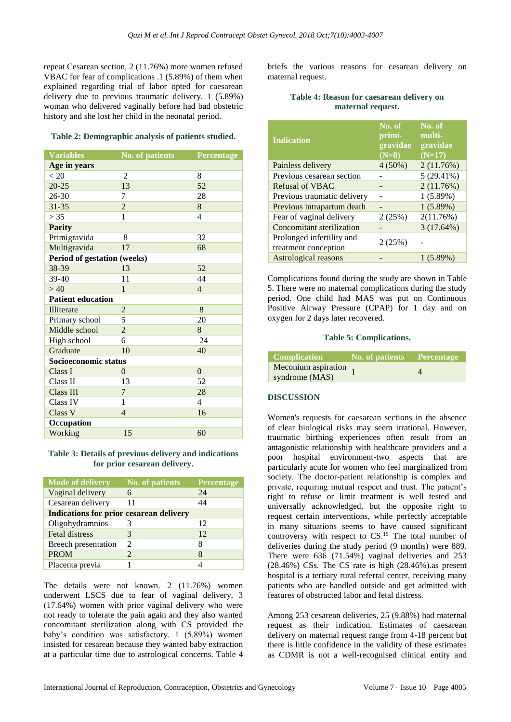repeat Cesarean section, 2 (11.76%) more women refused VBAC for fear of complications .1 (5.89%) of them when explained regarding trial of labor opted for caesarean delivery due to previous traumatic delivery. 1 (5.89%) woman who delivered vaginally before had bad obstetric history and she lost her child in the neonatal period.

#### **Table 2: Demographic analysis of patients studied.**

| <b>Variables</b>            | No. of patients | Percentage     |  |  |
|-----------------------------|-----------------|----------------|--|--|
| Age in years                |                 |                |  |  |
| < 20                        | $\overline{2}$  | 8              |  |  |
| $20 - 25$                   | 13              | 52             |  |  |
| $26 - 30$                   | 7               | 28             |  |  |
| $31 - 35$                   | $\overline{c}$  | 8              |  |  |
| > 35                        | 1               | $\overline{4}$ |  |  |
| <b>Parity</b>               |                 |                |  |  |
| Primigravida                | 8               | 32             |  |  |
| Multigravida                | 17              | 68             |  |  |
| Period of gestation (weeks) |                 |                |  |  |
| 38-39                       | 13              | 52             |  |  |
| 39-40                       | 11              | 44             |  |  |
| >40                         | $\mathbf{1}$    | $\overline{4}$ |  |  |
| <b>Patient education</b>    |                 |                |  |  |
| Illiterate                  | $\overline{2}$  | 8              |  |  |
| Primary school              | 5               | 20             |  |  |
| Middle school               | $\overline{c}$  | 8              |  |  |
| High school                 | 6               | 24             |  |  |
| Graduate                    | 10              | 40             |  |  |
| Socioeconomic status        |                 |                |  |  |
| Class I                     | $\overline{0}$  | $\overline{0}$ |  |  |
| Class II                    | 13              | 52             |  |  |
| Class III                   | 7               | 28             |  |  |
| Class IV                    | 1               | $\overline{4}$ |  |  |
| Class V                     | $\overline{4}$  | 16             |  |  |
| Occupation                  |                 |                |  |  |
| Working                     | 15              | 60             |  |  |

#### **Table 3: Details of previous delivery and indications for prior cesarean delivery.**

| <b>Mode of delivery</b>                        | <b>No. of patients</b> | Percentage |  |  |
|------------------------------------------------|------------------------|------------|--|--|
| Vaginal delivery                               | 6                      | 24         |  |  |
| Cesarean delivery                              | 11                     | 44         |  |  |
| <b>Indications for prior cesarean delivery</b> |                        |            |  |  |
| Oligohydramnios                                |                        | 12         |  |  |
| <b>Fetal distress</b>                          |                        | 12         |  |  |
| <b>Breech presentation</b>                     | $\mathcal{D}_{\cdot}$  | 8          |  |  |
| <b>PROM</b>                                    | $\mathcal{D}_{\cdot}$  | 8          |  |  |
| Placenta previa                                |                        |            |  |  |

The details were not known. 2 (11.76%) women underwent LSCS due to fear of vaginal delivery, 3 (17.64%) women with prior vaginal delivery who were not ready to tolerate the pain again and they also wanted concomitant sterilization along with CS provided the baby's condition was satisfactory. 1 (5.89%) women insisted for cesarean because they wanted baby extraction at a particular time due to astrological concerns. Table 4 briefs the various reasons for cesarean delivery on maternal request.

#### **Table 4: Reason for caesarean delivery on maternal request.**

| <b>Indication</b>                                 | No. of<br>primi-<br>gravidae<br>$(N=8)$ | No. of<br>multi-<br>gravidae<br>$(N=17)$ |
|---------------------------------------------------|-----------------------------------------|------------------------------------------|
| Painless delivery                                 | $4(50\%)$                               | 2(11.76%)                                |
| Previous cesarean section                         |                                         | $5(29.41\%)$                             |
| <b>Refusal of VBAC</b>                            |                                         | 2(11.76%)                                |
| Previous traumatic delivery                       |                                         | 1(5.89%)                                 |
| Previous intrapartum death                        |                                         | 1(5.89%)                                 |
| Fear of vaginal delivery                          | 2(25%)                                  | 2(11.76%)                                |
| Concomitant sterilization                         |                                         | $3(17.64\%)$                             |
| Prolonged infertility and<br>treatment conception | 2(25%)                                  |                                          |
| Astrological reasons                              |                                         | 1(5.89%)                                 |

Complications found during the study are shown in Table 5. There were no maternal complications during the study period. One child had MAS was put on Continuous Positive Airway Pressure (CPAP) for 1 day and on oxygen for 2 days later recovered.

#### **Table 5: Complications.**

| Complication                                         | No. of patients Percentage |  |
|------------------------------------------------------|----------------------------|--|
| Meconium aspiration $\overline{1}$<br>syndrome (MAS) |                            |  |

#### **DISCUSSION**

Women's requests for caesarean sections in the absence of clear biological risks may seem irrational. However, traumatic birthing experiences often result from an antagonistic relationship with healthcare providers and a poor hospital environment-two aspects that are particularly acute for women who feel marginalized from society. The doctor-patient relationship is complex and private, requiring mutual respect and trust. The patient's right to refuse or limit treatment is well tested and universally acknowledged, but the opposite right to request certain interventions, while perfectly acceptable in many situations seems to have caused significant controversy with respect to CS. <sup>15</sup> The total number of deliveries during the study period (9 months) were 889. There were 636 (71.54%) vaginal deliveries and 253 (28.46%) CSs. The CS rate is high (28.46%).as present hospital is a tertiary rural referral center, receiving many patients who are handled outside and get admitted with features of obstructed labor and fetal distress.

Among 253 cesarean deliveries, 25 (9.88%) had maternal request as their indication. Estimates of caesarean delivery on maternal request range from 4-18 percent but there is little confidence in the validity of these estimates as CDMR is not a well-recognised clinical entity and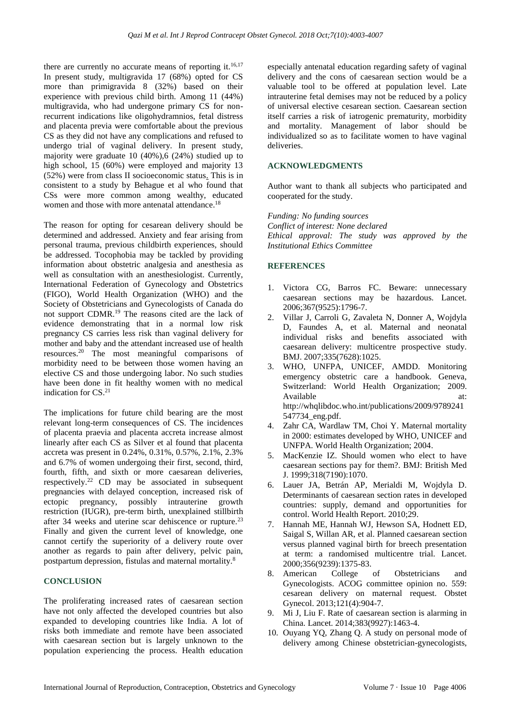there are currently no accurate means of reporting it. $16,17$ In present study, multigravida 17 (68%) opted for CS more than primigravida 8 (32%) based on their experience with previous child birth. Among 11 (44%) multigravida, who had undergone primary CS for nonrecurrent indications like oligohydramnios, fetal distress and placenta previa were comfortable about the previous CS as they did not have any complications and refused to undergo trial of vaginal delivery. In present study, majority were graduate 10 (40%),6 (24%) studied up to high school, 15 (60%) were employed and majority 13 (52%) were from class II socioeconomic status. This is in consistent to a study by Behague et al who found that CSs were more common among wealthy, educated women and those with more antenatal attendance.<sup>18</sup>

The reason for opting for cesarean delivery should be determined and addressed. Anxiety and fear arising from personal trauma, previous childbirth experiences, should be addressed. Tocophobia may be tackled by providing information about obstetric analgesia and anesthesia as well as consultation with an anesthesiologist. Currently, International Federation of Gynecology and Obstetrics (FIGO), World Health Organization (WHO) and the Society of Obstetricians and Gynecologists of Canada do not support CDMR. <sup>19</sup> The reasons cited are the lack of evidence demonstrating that in a normal low risk pregnancy CS carries less risk than vaginal delivery for mother and baby and the attendant increased use of health resources. <sup>20</sup> The most meaningful comparisons of morbidity need to be between those women having an elective CS and those undergoing labor. No such studies have been done in fit healthy women with no medical indication for CS. 21

The implications for future child bearing are the most relevant long-term consequences of CS. The incidences of placenta praevia and placenta accreta increase almost linearly after each CS as Silver et al found that placenta accreta was present in 0.24%, 0.31%, 0.57%, 2.1%, 2.3% and 6.7% of women undergoing their first, second, third, fourth, fifth, and sixth or more caesarean deliveries, respectively.<sup>22</sup> CD may be associated in subsequent pregnancies with delayed conception, increased risk of ectopic pregnancy, possibly intrauterine growth restriction (IUGR), pre-term birth, unexplained stillbirth after 34 weeks and uterine scar dehiscence or rupture.<sup>23</sup> Finally and given the current level of knowledge, one cannot certify the superiority of a delivery route over another as regards to pain after delivery, pelvic pain, postpartum depression, fistulas and maternal mortality.<sup>8</sup>

#### **CONCLUSION**

The proliferating increased rates of caesarean section have not only affected the developed countries but also expanded to developing countries like India. A lot of risks both immediate and remote have been associated with caesarean section but is largely unknown to the population experiencing the process. Health education especially antenatal education regarding safety of vaginal delivery and the cons of caesarean section would be a valuable tool to be offered at population level. Late intrauterine fetal demises may not be reduced by a policy of universal elective cesarean section. Caesarean section itself carries a risk of iatrogenic prematurity, morbidity and mortality. Management of labor should be individualized so as to facilitate women to have vaginal deliveries.

#### **ACKNOWLEDGMENTS**

Author want to thank all subjects who participated and cooperated for the study.

*Funding: No funding sources Conflict of interest: None declared Ethical approval: The study was approved by the Institutional Ethics Committee*

#### **REFERENCES**

- 1. Victora CG, Barros FC. Beware: unnecessary caesarean sections may be hazardous. Lancet. 2006;367(9525):1796-7.
- 2. Villar J, Carroli G, Zavaleta N, Donner A, Wojdyla D, Faundes A, et al. Maternal and neonatal individual risks and benefits associated with caesarean delivery: multicentre prospective study. BMJ. 2007;335(7628):1025.
- 3. WHO, UNFPA, UNICEF, AMDD. Monitoring emergency obstetric care a handbook. Geneva, Switzerland: World Health Organization; 2009. Available at: at: http://whqlibdoc.who.int/publications/2009/9789241 547734\_eng.pdf.
- 4. Zahr CA, Wardlaw TM, Choi Y. Maternal mortality in 2000: estimates developed by WHO, UNICEF and UNFPA. World Health Organization; 2004.
- 5. MacKenzie IZ. Should women who elect to have caesarean sections pay for them?. BMJ: British Med J. 1999;318(7190):1070.
- 6. Lauer JA, Betrán AP, Merialdi M, Wojdyla D. Determinants of caesarean section rates in developed countries: supply, demand and opportunities for control. World Health Report. 2010;29.
- 7. Hannah ME, Hannah WJ, Hewson SA, Hodnett ED, Saigal S, Willan AR, et al. Planned caesarean section versus planned vaginal birth for breech presentation at term: a randomised multicentre trial. Lancet. 2000;356(9239):1375-83.
- 8. American College of Obstetricians and Gynecologists. ACOG committee opinion no. 559: cesarean delivery on maternal request. Obstet Gynecol. 2013;121(4):904-7.
- 9. Mi J, Liu F. Rate of caesarean section is alarming in China. Lancet. 2014;383(9927):1463-4.
- 10. Ouyang YQ, Zhang Q. A study on personal mode of delivery among Chinese obstetrician-gynecologists,